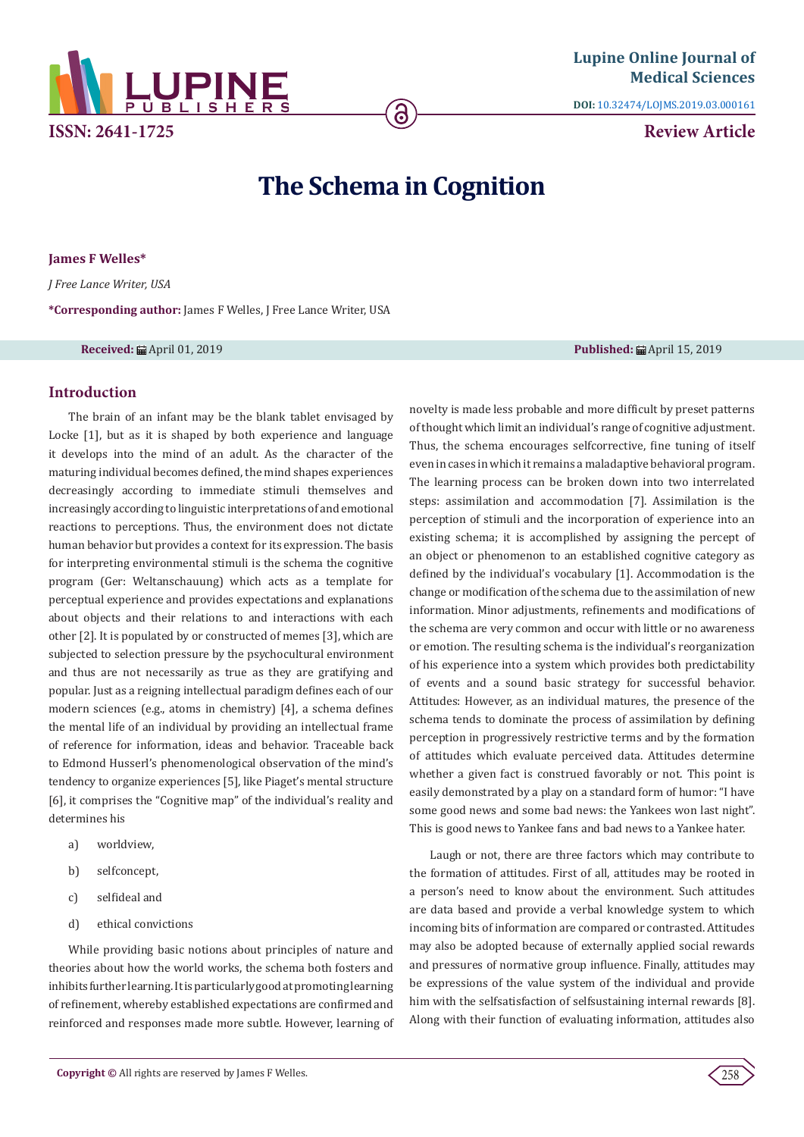

**DOI:** [10.32474/LOJMS.2019.03.000161](http://dx.doi.org/10.32474/LOJMS.2019.03.000161)

**Review Article**

# **The Schema in Cognition**

6

**James F Welles\***

*J Free Lance Writer, USA*

**\*Corresponding author:** James F Welles, J Free Lance Writer, USA

## **Received:** April 01, 2019 **Published:** April 15, 2019

**Introduction**

The brain of an infant may be the blank tablet envisaged by Locke [1], but as it is shaped by both experience and language it develops into the mind of an adult. As the character of the maturing individual becomes defined, the mind shapes experiences decreasingly according to immediate stimuli themselves and increasingly according to linguistic interpretations of and emotional reactions to perceptions. Thus, the environment does not dictate human behavior but provides a context for its expression. The basis for interpreting environmental stimuli is the schema the cognitive program (Ger: Weltanschauung) which acts as a template for perceptual experience and provides expectations and explanations about objects and their relations to and interactions with each other [2]. It is populated by or constructed of memes [3], which are subjected to selection pressure by the psychocultural environment and thus are not necessarily as true as they are gratifying and popular. Just as a reigning intellectual paradigm defines each of our modern sciences (e.g., atoms in chemistry) [4], a schema defines the mental life of an individual by providing an intellectual frame of reference for information, ideas and behavior. Traceable back to Edmond Husserl's phenomenological observation of the mind's tendency to organize experiences [5], like Piaget's mental structure [6], it comprises the "Cognitive map" of the individual's reality and determines his

- a) worldview,
- b) selfconcept,
- c) selfideal and
- d) ethical convictions

While providing basic notions about principles of nature and theories about how the world works, the schema both fosters and inhibits further learning. It is particularly good at promoting learning of refinement, whereby established expectations are confirmed and reinforced and responses made more subtle. However, learning of

novelty is made less probable and more difficult by preset patterns of thought which limit an individual's range of cognitive adjustment. Thus, the schema encourages selfcorrective, fine tuning of itself even in cases in which it remains a maladaptive behavioral program. The learning process can be broken down into two interrelated steps: assimilation and accommodation [7]. Assimilation is the perception of stimuli and the incorporation of experience into an existing schema; it is accomplished by assigning the percept of an object or phenomenon to an established cognitive category as defined by the individual's vocabulary [1]. Accommodation is the change or modification of the schema due to the assimilation of new information. Minor adjustments, refinements and modifications of the schema are very common and occur with little or no awareness or emotion. The resulting schema is the individual's reorganization of his experience into a system which provides both predictability of events and a sound basic strategy for successful behavior. Attitudes: However, as an individual matures, the presence of the schema tends to dominate the process of assimilation by defining perception in progressively restrictive terms and by the formation of attitudes which evaluate perceived data. Attitudes determine whether a given fact is construed favorably or not. This point is easily demonstrated by a play on a standard form of humor: "I have some good news and some bad news: the Yankees won last night". This is good news to Yankee fans and bad news to a Yankee hater.

Laugh or not, there are three factors which may contribute to the formation of attitudes. First of all, attitudes may be rooted in a person's need to know about the environment. Such attitudes are data based and provide a verbal knowledge system to which incoming bits of information are compared or contrasted. Attitudes may also be adopted because of externally applied social rewards and pressures of normative group influence. Finally, attitudes may be expressions of the value system of the individual and provide him with the selfsatisfaction of selfsustaining internal rewards [8]. Along with their function of evaluating information, attitudes also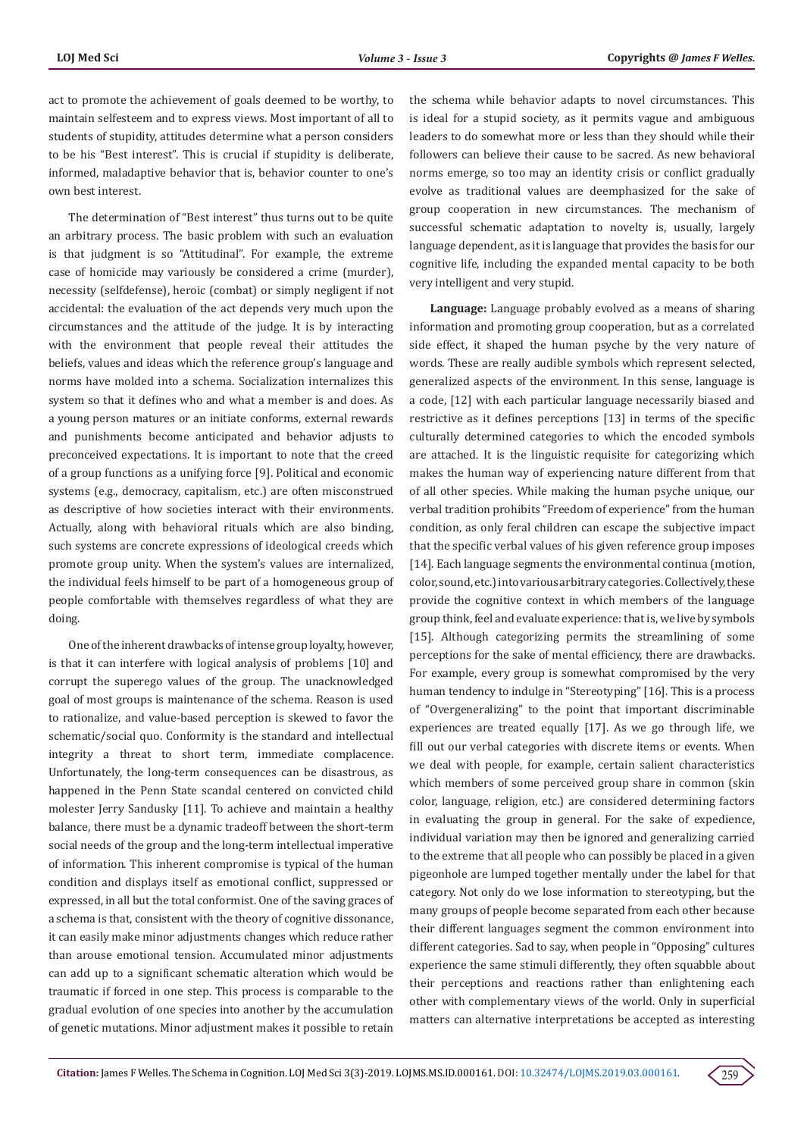act to promote the achievement of goals deemed to be worthy, to maintain selfesteem and to express views. Most important of all to students of stupidity, attitudes determine what a person considers to be his "Best interest". This is crucial if stupidity is deliberate, informed, maladaptive behavior that is, behavior counter to one's own best interest.

The determination of "Best interest" thus turns out to be quite an arbitrary process. The basic problem with such an evaluation is that judgment is so "Attitudinal". For example, the extreme case of homicide may variously be considered a crime (murder), necessity (selfdefense), heroic (combat) or simply negligent if not accidental: the evaluation of the act depends very much upon the circumstances and the attitude of the judge. It is by interacting with the environment that people reveal their attitudes the beliefs, values and ideas which the reference group's language and norms have molded into a schema. Socialization internalizes this system so that it defines who and what a member is and does. As a young person matures or an initiate conforms, external rewards and punishments become anticipated and behavior adjusts to preconceived expectations. It is important to note that the creed of a group functions as a unifying force [9]. Political and economic systems (e.g., democracy, capitalism, etc.) are often misconstrued as descriptive of how societies interact with their environments. Actually, along with behavioral rituals which are also binding, such systems are concrete expressions of ideological creeds which promote group unity. When the system's values are internalized, the individual feels himself to be part of a homogeneous group of people comfortable with themselves regardless of what they are doing.

One of the inherent drawbacks of intense group loyalty, however, is that it can interfere with logical analysis of problems [10] and corrupt the superego values of the group. The unacknowledged goal of most groups is maintenance of the schema. Reason is used to rationalize, and value-based perception is skewed to favor the schematic/social quo. Conformity is the standard and intellectual integrity a threat to short term, immediate complacence. Unfortunately, the long-term consequences can be disastrous, as happened in the Penn State scandal centered on convicted child molester Jerry Sandusky [11]. To achieve and maintain a healthy balance, there must be a dynamic tradeoff between the short-term social needs of the group and the long-term intellectual imperative of information. This inherent compromise is typical of the human condition and displays itself as emotional conflict, suppressed or expressed, in all but the total conformist. One of the saving graces of a schema is that, consistent with the theory of cognitive dissonance, it can easily make minor adjustments changes which reduce rather than arouse emotional tension. Accumulated minor adjustments can add up to a significant schematic alteration which would be traumatic if forced in one step. This process is comparable to the gradual evolution of one species into another by the accumulation of genetic mutations. Minor adjustment makes it possible to retain

the schema while behavior adapts to novel circumstances. This is ideal for a stupid society, as it permits vague and ambiguous leaders to do somewhat more or less than they should while their followers can believe their cause to be sacred. As new behavioral norms emerge, so too may an identity crisis or conflict gradually evolve as traditional values are deemphasized for the sake of group cooperation in new circumstances. The mechanism of successful schematic adaptation to novelty is, usually, largely language dependent, as it is language that provides the basis for our cognitive life, including the expanded mental capacity to be both very intelligent and very stupid.

**Language:** Language probably evolved as a means of sharing information and promoting group cooperation, but as a correlated side effect, it shaped the human psyche by the very nature of words. These are really audible symbols which represent selected, generalized aspects of the environment. In this sense, language is a code, [12] with each particular language necessarily biased and restrictive as it defines perceptions [13] in terms of the specific culturally determined categories to which the encoded symbols are attached. It is the linguistic requisite for categorizing which makes the human way of experiencing nature different from that of all other species. While making the human psyche unique, our verbal tradition prohibits "Freedom of experience" from the human condition, as only feral children can escape the subjective impact that the specific verbal values of his given reference group imposes [14]. Each language segments the environmental continua (motion, color, sound, etc.) into various arbitrary categories. Collectively, these provide the cognitive context in which members of the language group think, feel and evaluate experience: that is, we live by symbols [15]. Although categorizing permits the streamlining of some perceptions for the sake of mental efficiency, there are drawbacks. For example, every group is somewhat compromised by the very human tendency to indulge in "Stereotyping" [16]. This is a process of "Overgeneralizing" to the point that important discriminable experiences are treated equally [17]. As we go through life, we fill out our verbal categories with discrete items or events. When we deal with people, for example, certain salient characteristics which members of some perceived group share in common (skin color, language, religion, etc.) are considered determining factors in evaluating the group in general. For the sake of expedience, individual variation may then be ignored and generalizing carried to the extreme that all people who can possibly be placed in a given pigeonhole are lumped together mentally under the label for that category. Not only do we lose information to stereotyping, but the many groups of people become separated from each other because their different languages segment the common environment into different categories. Sad to say, when people in "Opposing" cultures experience the same stimuli differently, they often squabble about their perceptions and reactions rather than enlightening each other with complementary views of the world. Only in superficial matters can alternative interpretations be accepted as interesting

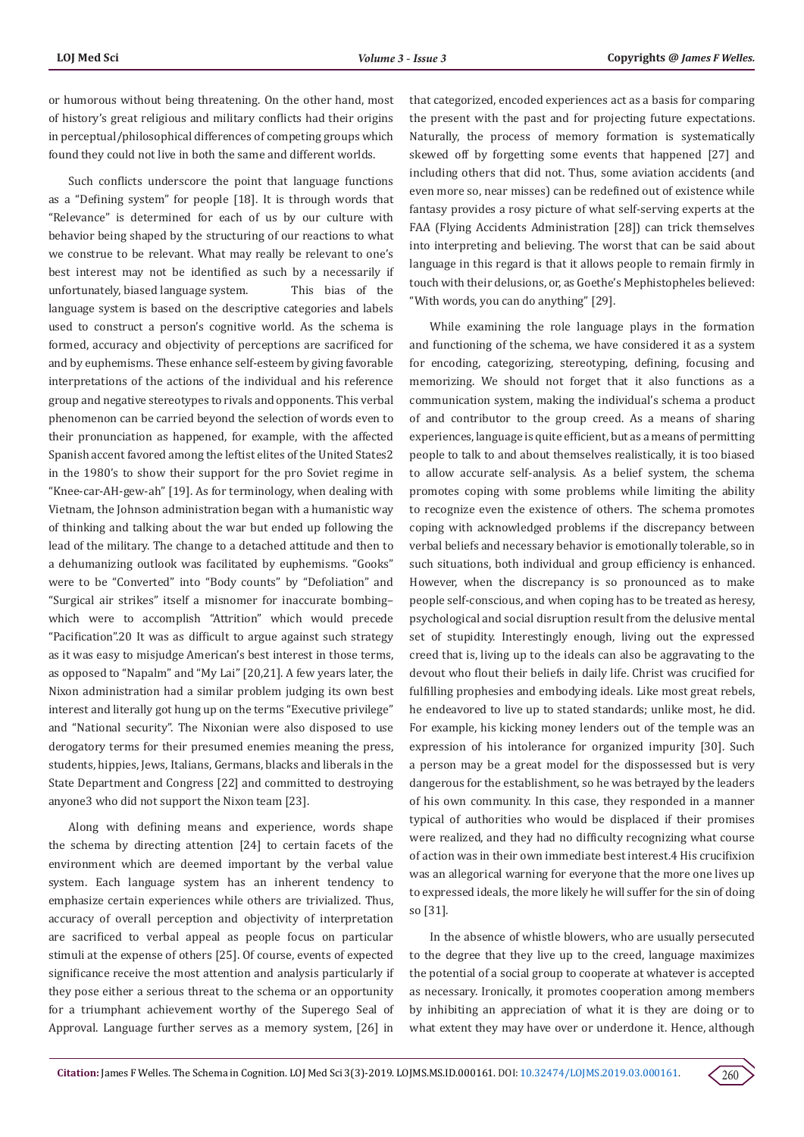or humorous without being threatening. On the other hand, most of history's great religious and military conflicts had their origins in perceptual/philosophical differences of competing groups which found they could not live in both the same and different worlds.

Such conflicts underscore the point that language functions as a "Defining system" for people [18]. It is through words that "Relevance" is determined for each of us by our culture with behavior being shaped by the structuring of our reactions to what we construe to be relevant. What may really be relevant to one's best interest may not be identified as such by a necessarily if unfortunately, biased language system. This bias of the language system is based on the descriptive categories and labels used to construct a person's cognitive world. As the schema is formed, accuracy and objectivity of perceptions are sacrificed for and by euphemisms. These enhance self-esteem by giving favorable interpretations of the actions of the individual and his reference group and negative stereotypes to rivals and opponents. This verbal phenomenon can be carried beyond the selection of words even to their pronunciation as happened, for example, with the affected Spanish accent favored among the leftist elites of the United States2 in the 1980's to show their support for the pro Soviet regime in "Knee-car-AH-gew-ah" [19]. As for terminology, when dealing with Vietnam, the Johnson administration began with a humanistic way of thinking and talking about the war but ended up following the lead of the military. The change to a detached attitude and then to a dehumanizing outlook was facilitated by euphemisms. "Gooks" were to be "Converted" into "Body counts" by "Defoliation" and "Surgical air strikes" itself a misnomer for inaccurate bombing– which were to accomplish "Attrition" which would precede "Pacification".20 It was as difficult to argue against such strategy as it was easy to misjudge American's best interest in those terms, as opposed to "Napalm" and "My Lai" [20,21]. A few years later, the Nixon administration had a similar problem judging its own best interest and literally got hung up on the terms "Executive privilege" and "National security". The Nixonian were also disposed to use derogatory terms for their presumed enemies meaning the press, students, hippies, Jews, Italians, Germans, blacks and liberals in the State Department and Congress [22] and committed to destroying anyone3 who did not support the Nixon team [23].

Along with defining means and experience, words shape the schema by directing attention [24] to certain facets of the environment which are deemed important by the verbal value system. Each language system has an inherent tendency to emphasize certain experiences while others are trivialized. Thus, accuracy of overall perception and objectivity of interpretation are sacrificed to verbal appeal as people focus on particular stimuli at the expense of others [25]. Of course, events of expected significance receive the most attention and analysis particularly if they pose either a serious threat to the schema or an opportunity for a triumphant achievement worthy of the Superego Seal of Approval. Language further serves as a memory system, [26] in

that categorized, encoded experiences act as a basis for comparing the present with the past and for projecting future expectations. Naturally, the process of memory formation is systematically skewed off by forgetting some events that happened [27] and including others that did not. Thus, some aviation accidents (and even more so, near misses) can be redefined out of existence while fantasy provides a rosy picture of what self-serving experts at the FAA (Flying Accidents Administration [28]) can trick themselves into interpreting and believing. The worst that can be said about language in this regard is that it allows people to remain firmly in touch with their delusions, or, as Goethe's Mephistopheles believed: "With words, you can do anything" [29].

While examining the role language plays in the formation and functioning of the schema, we have considered it as a system for encoding, categorizing, stereotyping, defining, focusing and memorizing. We should not forget that it also functions as a communication system, making the individual's schema a product of and contributor to the group creed. As a means of sharing experiences, language is quite efficient, but as a means of permitting people to talk to and about themselves realistically, it is too biased to allow accurate self-analysis. As a belief system, the schema promotes coping with some problems while limiting the ability to recognize even the existence of others. The schema promotes coping with acknowledged problems if the discrepancy between verbal beliefs and necessary behavior is emotionally tolerable, so in such situations, both individual and group efficiency is enhanced. However, when the discrepancy is so pronounced as to make people self-conscious, and when coping has to be treated as heresy, psychological and social disruption result from the delusive mental set of stupidity. Interestingly enough, living out the expressed creed that is, living up to the ideals can also be aggravating to the devout who flout their beliefs in daily life. Christ was crucified for fulfilling prophesies and embodying ideals. Like most great rebels, he endeavored to live up to stated standards; unlike most, he did. For example, his kicking money lenders out of the temple was an expression of his intolerance for organized impurity [30]. Such a person may be a great model for the dispossessed but is very dangerous for the establishment, so he was betrayed by the leaders of his own community. In this case, they responded in a manner typical of authorities who would be displaced if their promises were realized, and they had no difficulty recognizing what course of action was in their own immediate best interest.4 His crucifixion was an allegorical warning for everyone that the more one lives up to expressed ideals, the more likely he will suffer for the sin of doing so [31].

In the absence of whistle blowers, who are usually persecuted to the degree that they live up to the creed, language maximizes the potential of a social group to cooperate at whatever is accepted as necessary. Ironically, it promotes cooperation among members by inhibiting an appreciation of what it is they are doing or to what extent they may have over or underdone it. Hence, although

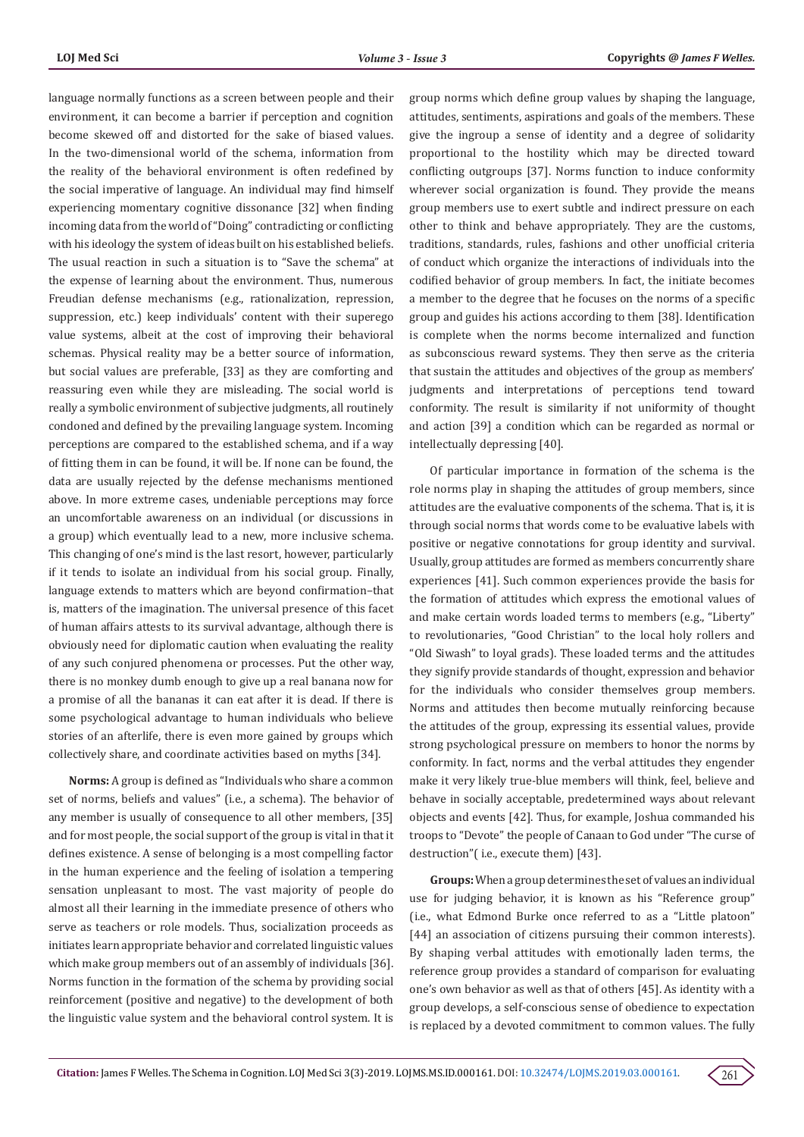language normally functions as a screen between people and their environment, it can become a barrier if perception and cognition become skewed off and distorted for the sake of biased values. In the two-dimensional world of the schema, information from the reality of the behavioral environment is often redefined by the social imperative of language. An individual may find himself experiencing momentary cognitive dissonance [32] when finding incoming data from the world of "Doing" contradicting or conflicting with his ideology the system of ideas built on his established beliefs. The usual reaction in such a situation is to "Save the schema" at the expense of learning about the environment. Thus, numerous Freudian defense mechanisms (e.g., rationalization, repression, suppression, etc.) keep individuals' content with their superego value systems, albeit at the cost of improving their behavioral schemas. Physical reality may be a better source of information, but social values are preferable, [33] as they are comforting and reassuring even while they are misleading. The social world is really a symbolic environment of subjective judgments, all routinely condoned and defined by the prevailing language system. Incoming perceptions are compared to the established schema, and if a way of fitting them in can be found, it will be. If none can be found, the data are usually rejected by the defense mechanisms mentioned above. In more extreme cases, undeniable perceptions may force an uncomfortable awareness on an individual (or discussions in a group) which eventually lead to a new, more inclusive schema. This changing of one's mind is the last resort, however, particularly if it tends to isolate an individual from his social group. Finally, language extends to matters which are beyond confirmation–that is, matters of the imagination. The universal presence of this facet of human affairs attests to its survival advantage, although there is obviously need for diplomatic caution when evaluating the reality of any such conjured phenomena or processes. Put the other way, there is no monkey dumb enough to give up a real banana now for a promise of all the bananas it can eat after it is dead. If there is some psychological advantage to human individuals who believe stories of an afterlife, there is even more gained by groups which collectively share, and coordinate activities based on myths [34].

**Norms:** A group is defined as "Individuals who share a common set of norms, beliefs and values" (i.e., a schema). The behavior of any member is usually of consequence to all other members, [35] and for most people, the social support of the group is vital in that it defines existence. A sense of belonging is a most compelling factor in the human experience and the feeling of isolation a tempering sensation unpleasant to most. The vast majority of people do almost all their learning in the immediate presence of others who serve as teachers or role models. Thus, socialization proceeds as initiates learn appropriate behavior and correlated linguistic values which make group members out of an assembly of individuals [36]. Norms function in the formation of the schema by providing social reinforcement (positive and negative) to the development of both the linguistic value system and the behavioral control system. It is

group norms which define group values by shaping the language, attitudes, sentiments, aspirations and goals of the members. These give the ingroup a sense of identity and a degree of solidarity proportional to the hostility which may be directed toward conflicting outgroups [37]. Norms function to induce conformity wherever social organization is found. They provide the means group members use to exert subtle and indirect pressure on each other to think and behave appropriately. They are the customs, traditions, standards, rules, fashions and other unofficial criteria of conduct which organize the interactions of individuals into the codified behavior of group members. In fact, the initiate becomes a member to the degree that he focuses on the norms of a specific group and guides his actions according to them [38]. Identification is complete when the norms become internalized and function as subconscious reward systems. They then serve as the criteria that sustain the attitudes and objectives of the group as members' judgments and interpretations of perceptions tend toward conformity. The result is similarity if not uniformity of thought and action [39] a condition which can be regarded as normal or intellectually depressing [40].

Of particular importance in formation of the schema is the role norms play in shaping the attitudes of group members, since attitudes are the evaluative components of the schema. That is, it is through social norms that words come to be evaluative labels with positive or negative connotations for group identity and survival. Usually, group attitudes are formed as members concurrently share experiences [41]. Such common experiences provide the basis for the formation of attitudes which express the emotional values of and make certain words loaded terms to members (e.g., "Liberty" to revolutionaries, "Good Christian" to the local holy rollers and "Old Siwash" to loyal grads). These loaded terms and the attitudes they signify provide standards of thought, expression and behavior for the individuals who consider themselves group members. Norms and attitudes then become mutually reinforcing because the attitudes of the group, expressing its essential values, provide strong psychological pressure on members to honor the norms by conformity. In fact, norms and the verbal attitudes they engender make it very likely true-blue members will think, feel, believe and behave in socially acceptable, predetermined ways about relevant objects and events [42]. Thus, for example, Joshua commanded his troops to "Devote" the people of Canaan to God under "The curse of destruction"( i.e., execute them) [43].

**Groups:** When a group determines the set of values an individual use for judging behavior, it is known as his "Reference group" (i.e., what Edmond Burke once referred to as a "Little platoon" [44] an association of citizens pursuing their common interests]. By shaping verbal attitudes with emotionally laden terms, the reference group provides a standard of comparison for evaluating one's own behavior as well as that of others [45]. As identity with a group develops, a self-conscious sense of obedience to expectation is replaced by a devoted commitment to common values. The fully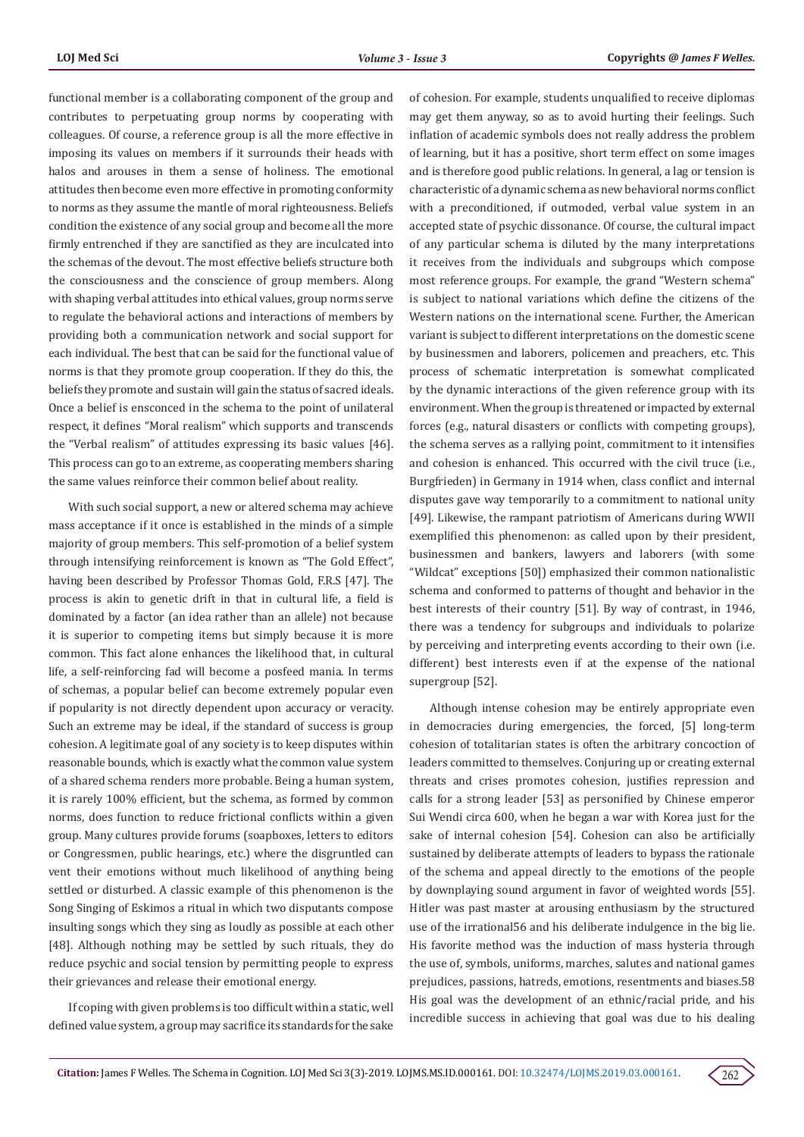functional member is a collaborating component of the group and contributes to perpetuating group norms by cooperating with colleagues. Of course, a reference group is all the more effective in imposing its values on members if it surrounds their heads with halos and arouses in them a sense of holiness. The emotional attitudes then become even more effective in promoting conformity to norms as they assume the mantle of moral righteousness. Beliefs condition the existence of any social group and become all the more firmly entrenched if they are sanctified as they are inculcated into the schemas of the devout. The most effective beliefs structure both the consciousness and the conscience of group members. Along with shaping verbal attitudes into ethical values, group norms serve to regulate the behavioral actions and interactions of members by providing both a communication network and social support for each individual. The best that can be said for the functional value of norms is that they promote group cooperation. If they do this, the beliefs they promote and sustain will gain the status of sacred ideals. Once a belief is ensconced in the schema to the point of unilateral respect, it defines "Moral realism" which supports and transcends the "Verbal realism" of attitudes expressing its basic values [46]. This process can go to an extreme, as cooperating members sharing the same values reinforce their common belief about reality.

With such social support, a new or altered schema may achieve mass acceptance if it once is established in the minds of a simple majority of group members. This self-promotion of a belief system through intensifying reinforcement is known as "The Gold Effect", having been described by Professor Thomas Gold, F.R.S [47]. The process is akin to genetic drift in that in cultural life, a field is dominated by a factor (an idea rather than an allele) not because it is superior to competing items but simply because it is more common. This fact alone enhances the likelihood that, in cultural life, a self-reinforcing fad will become a posfeed mania. In terms of schemas, a popular belief can become extremely popular even if popularity is not directly dependent upon accuracy or veracity. Such an extreme may be ideal, if the standard of success is group cohesion. A legitimate goal of any society is to keep disputes within reasonable bounds, which is exactly what the common value system of a shared schema renders more probable. Being a human system, it is rarely 100% efficient, but the schema, as formed by common norms, does function to reduce frictional conflicts within a given group. Many cultures provide forums (soapboxes, letters to editors or Congressmen, public hearings, etc.) where the disgruntled can vent their emotions without much likelihood of anything being settled or disturbed. A classic example of this phenomenon is the Song Singing of Eskimos a ritual in which two disputants compose insulting songs which they sing as loudly as possible at each other [48]. Although nothing may be settled by such rituals, they do reduce psychic and social tension by permitting people to express their grievances and release their emotional energy.

If coping with given problems is too difficult within a static, well defined value system, a group may sacrifice its standards for the sake

of cohesion. For example, students unqualified to receive diplomas may get them anyway, so as to avoid hurting their feelings. Such inflation of academic symbols does not really address the problem of learning, but it has a positive, short term effect on some images and is therefore good public relations. In general, a lag or tension is characteristic of a dynamic schema as new behavioral norms conflict with a preconditioned, if outmoded, verbal value system in an accepted state of psychic dissonance. Of course, the cultural impact of any particular schema is diluted by the many interpretations it receives from the individuals and subgroups which compose most reference groups. For example, the grand "Western schema" is subject to national variations which define the citizens of the Western nations on the international scene. Further, the American variant is subject to different interpretations on the domestic scene by businessmen and laborers, policemen and preachers, etc. This process of schematic interpretation is somewhat complicated by the dynamic interactions of the given reference group with its environment. When the group is threatened or impacted by external forces (e.g., natural disasters or conflicts with competing groups), the schema serves as a rallying point, commitment to it intensifies and cohesion is enhanced. This occurred with the civil truce (i.e., Burgfrieden) in Germany in 1914 when, class conflict and internal disputes gave way temporarily to a commitment to national unity [49]. Likewise, the rampant patriotism of Americans during WWII exemplified this phenomenon: as called upon by their president, businessmen and bankers, lawyers and laborers (with some "Wildcat" exceptions [50]) emphasized their common nationalistic schema and conformed to patterns of thought and behavior in the best interests of their country [51]. By way of contrast, in 1946, there was a tendency for subgroups and individuals to polarize by perceiving and interpreting events according to their own (i.e. different) best interests even if at the expense of the national supergroup [52].

Although intense cohesion may be entirely appropriate even in democracies during emergencies, the forced, [5] long-term cohesion of totalitarian states is often the arbitrary concoction of leaders committed to themselves. Conjuring up or creating external threats and crises promotes cohesion, justifies repression and calls for a strong leader [53] as personified by Chinese emperor Sui Wendi circa 600, when he began a war with Korea just for the sake of internal cohesion [54]. Cohesion can also be artificially sustained by deliberate attempts of leaders to bypass the rationale of the schema and appeal directly to the emotions of the people by downplaying sound argument in favor of weighted words [55]. Hitler was past master at arousing enthusiasm by the structured use of the irrational56 and his deliberate indulgence in the big lie. His favorite method was the induction of mass hysteria through the use of, symbols, uniforms, marches, salutes and national games prejudices, passions, hatreds, emotions, resentments and biases.58 His goal was the development of an ethnic/racial pride, and his incredible success in achieving that goal was due to his dealing

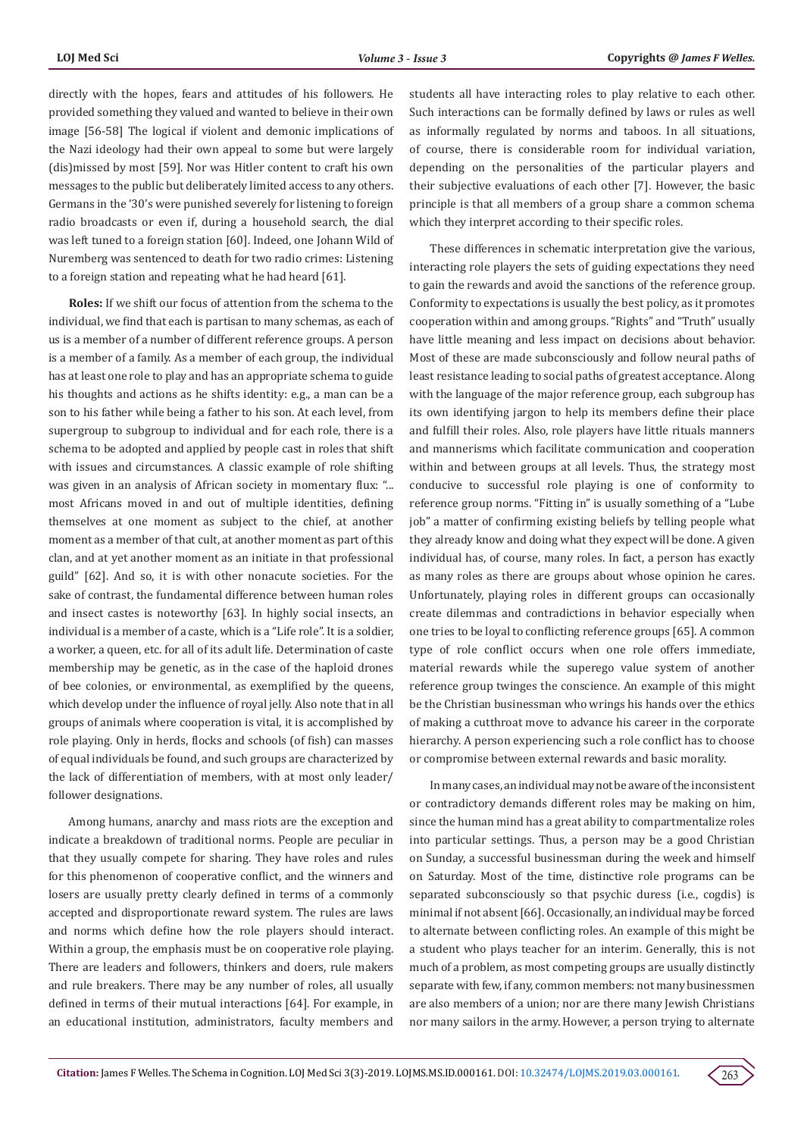directly with the hopes, fears and attitudes of his followers. He provided something they valued and wanted to believe in their own image [56-58] The logical if violent and demonic implications of the Nazi ideology had their own appeal to some but were largely (dis)missed by most [59]. Nor was Hitler content to craft his own messages to the public but deliberately limited access to any others. Germans in the '30's were punished severely for listening to foreign radio broadcasts or even if, during a household search, the dial was left tuned to a foreign station [60]. Indeed, one Johann Wild of Nuremberg was sentenced to death for two radio crimes: Listening to a foreign station and repeating what he had heard [61].

**Roles:** If we shift our focus of attention from the schema to the individual, we find that each is partisan to many schemas, as each of us is a member of a number of different reference groups. A person is a member of a family. As a member of each group, the individual has at least one role to play and has an appropriate schema to guide his thoughts and actions as he shifts identity: e.g., a man can be a son to his father while being a father to his son. At each level, from supergroup to subgroup to individual and for each role, there is a schema to be adopted and applied by people cast in roles that shift with issues and circumstances. A classic example of role shifting was given in an analysis of African society in momentary flux: "... most Africans moved in and out of multiple identities, defining themselves at one moment as subject to the chief, at another moment as a member of that cult, at another moment as part of this clan, and at yet another moment as an initiate in that professional guild" [62]. And so, it is with other nonacute societies. For the sake of contrast, the fundamental difference between human roles and insect castes is noteworthy [63]. In highly social insects, an individual is a member of a caste, which is a "Life role". It is a soldier, a worker, a queen, etc. for all of its adult life. Determination of caste membership may be genetic, as in the case of the haploid drones of bee colonies, or environmental, as exemplified by the queens, which develop under the influence of royal jelly. Also note that in all groups of animals where cooperation is vital, it is accomplished by role playing. Only in herds, flocks and schools (of fish) can masses of equal individuals be found, and such groups are characterized by the lack of differentiation of members, with at most only leader/ follower designations.

Among humans, anarchy and mass riots are the exception and indicate a breakdown of traditional norms. People are peculiar in that they usually compete for sharing. They have roles and rules for this phenomenon of cooperative conflict, and the winners and losers are usually pretty clearly defined in terms of a commonly accepted and disproportionate reward system. The rules are laws and norms which define how the role players should interact. Within a group, the emphasis must be on cooperative role playing. There are leaders and followers, thinkers and doers, rule makers and rule breakers. There may be any number of roles, all usually defined in terms of their mutual interactions [64]. For example, in an educational institution, administrators, faculty members and

students all have interacting roles to play relative to each other. Such interactions can be formally defined by laws or rules as well as informally regulated by norms and taboos. In all situations, of course, there is considerable room for individual variation, depending on the personalities of the particular players and their subjective evaluations of each other [7]. However, the basic principle is that all members of a group share a common schema which they interpret according to their specific roles.

These differences in schematic interpretation give the various, interacting role players the sets of guiding expectations they need to gain the rewards and avoid the sanctions of the reference group. Conformity to expectations is usually the best policy, as it promotes cooperation within and among groups. "Rights" and "Truth" usually have little meaning and less impact on decisions about behavior. Most of these are made subconsciously and follow neural paths of least resistance leading to social paths of greatest acceptance. Along with the language of the major reference group, each subgroup has its own identifying jargon to help its members define their place and fulfill their roles. Also, role players have little rituals manners and mannerisms which facilitate communication and cooperation within and between groups at all levels. Thus, the strategy most conducive to successful role playing is one of conformity to reference group norms. "Fitting in" is usually something of a "Lube job" a matter of confirming existing beliefs by telling people what they already know and doing what they expect will be done. A given individual has, of course, many roles. In fact, a person has exactly as many roles as there are groups about whose opinion he cares. Unfortunately, playing roles in different groups can occasionally create dilemmas and contradictions in behavior especially when one tries to be loyal to conflicting reference groups [65]. A common type of role conflict occurs when one role offers immediate, material rewards while the superego value system of another reference group twinges the conscience. An example of this might be the Christian businessman who wrings his hands over the ethics of making a cutthroat move to advance his career in the corporate hierarchy. A person experiencing such a role conflict has to choose or compromise between external rewards and basic morality.

In many cases, an individual may not be aware of the inconsistent or contradictory demands different roles may be making on him, since the human mind has a great ability to compartmentalize roles into particular settings. Thus, a person may be a good Christian on Sunday, a successful businessman during the week and himself on Saturday. Most of the time, distinctive role programs can be separated subconsciously so that psychic duress (i.e., cogdis) is minimal if not absent [66]. Occasionally, an individual may be forced to alternate between conflicting roles. An example of this might be a student who plays teacher for an interim. Generally, this is not much of a problem, as most competing groups are usually distinctly separate with few, if any, common members: not many businessmen are also members of a union; nor are there many Jewish Christians nor many sailors in the army. However, a person trying to alternate

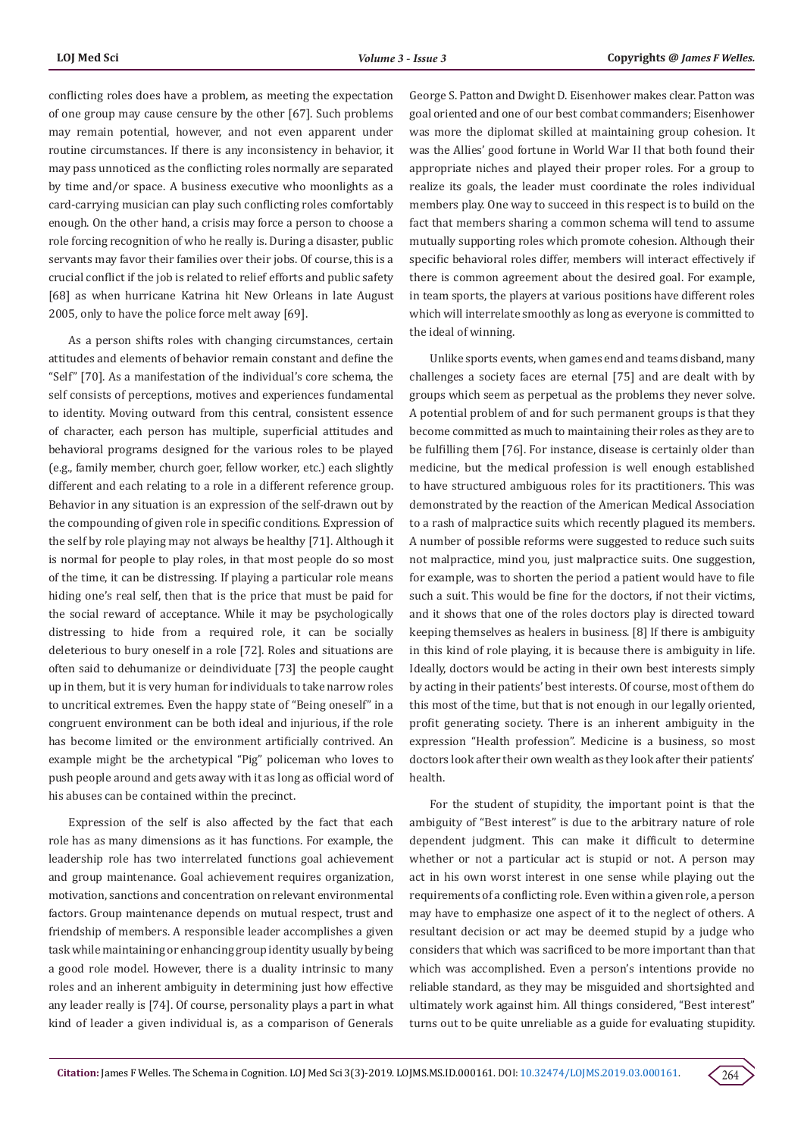conflicting roles does have a problem, as meeting the expectation of one group may cause censure by the other [67]. Such problems may remain potential, however, and not even apparent under routine circumstances. If there is any inconsistency in behavior, it may pass unnoticed as the conflicting roles normally are separated by time and/or space. A business executive who moonlights as a card-carrying musician can play such conflicting roles comfortably enough. On the other hand, a crisis may force a person to choose a role forcing recognition of who he really is. During a disaster, public servants may favor their families over their jobs. Of course, this is a crucial conflict if the job is related to relief efforts and public safety [68] as when hurricane Katrina hit New Orleans in late August 2005, only to have the police force melt away [69].

As a person shifts roles with changing circumstances, certain attitudes and elements of behavior remain constant and define the "Self" [70]. As a manifestation of the individual's core schema, the self consists of perceptions, motives and experiences fundamental to identity. Moving outward from this central, consistent essence of character, each person has multiple, superficial attitudes and behavioral programs designed for the various roles to be played (e.g., family member, church goer, fellow worker, etc.) each slightly different and each relating to a role in a different reference group. Behavior in any situation is an expression of the self-drawn out by the compounding of given role in specific conditions. Expression of the self by role playing may not always be healthy [71]. Although it is normal for people to play roles, in that most people do so most of the time, it can be distressing. If playing a particular role means hiding one's real self, then that is the price that must be paid for the social reward of acceptance. While it may be psychologically distressing to hide from a required role, it can be socially deleterious to bury oneself in a role [72]. Roles and situations are often said to dehumanize or deindividuate [73] the people caught up in them, but it is very human for individuals to take narrow roles to uncritical extremes. Even the happy state of "Being oneself" in a congruent environment can be both ideal and injurious, if the role has become limited or the environment artificially contrived. An example might be the archetypical "Pig" policeman who loves to push people around and gets away with it as long as official word of his abuses can be contained within the precinct.

Expression of the self is also affected by the fact that each role has as many dimensions as it has functions. For example, the leadership role has two interrelated functions goal achievement and group maintenance. Goal achievement requires organization, motivation, sanctions and concentration on relevant environmental factors. Group maintenance depends on mutual respect, trust and friendship of members. A responsible leader accomplishes a given task while maintaining or enhancing group identity usually by being a good role model. However, there is a duality intrinsic to many roles and an inherent ambiguity in determining just how effective any leader really is [74]. Of course, personality plays a part in what kind of leader a given individual is, as a comparison of Generals

George S. Patton and Dwight D. Eisenhower makes clear. Patton was goal oriented and one of our best combat commanders; Eisenhower was more the diplomat skilled at maintaining group cohesion. It was the Allies' good fortune in World War II that both found their appropriate niches and played their proper roles. For a group to realize its goals, the leader must coordinate the roles individual members play. One way to succeed in this respect is to build on the fact that members sharing a common schema will tend to assume mutually supporting roles which promote cohesion. Although their specific behavioral roles differ, members will interact effectively if there is common agreement about the desired goal. For example, in team sports, the players at various positions have different roles which will interrelate smoothly as long as everyone is committed to the ideal of winning.

Unlike sports events, when games end and teams disband, many challenges a society faces are eternal [75] and are dealt with by groups which seem as perpetual as the problems they never solve. A potential problem of and for such permanent groups is that they become committed as much to maintaining their roles as they are to be fulfilling them [76]. For instance, disease is certainly older than medicine, but the medical profession is well enough established to have structured ambiguous roles for its practitioners. This was demonstrated by the reaction of the American Medical Association to a rash of malpractice suits which recently plagued its members. A number of possible reforms were suggested to reduce such suits not malpractice, mind you, just malpractice suits. One suggestion, for example, was to shorten the period a patient would have to file such a suit. This would be fine for the doctors, if not their victims, and it shows that one of the roles doctors play is directed toward keeping themselves as healers in business. [8] If there is ambiguity in this kind of role playing, it is because there is ambiguity in life. Ideally, doctors would be acting in their own best interests simply by acting in their patients' best interests. Of course, most of them do this most of the time, but that is not enough in our legally oriented, profit generating society. There is an inherent ambiguity in the expression "Health profession". Medicine is a business, so most doctors look after their own wealth as they look after their patients' health.

For the student of stupidity, the important point is that the ambiguity of "Best interest" is due to the arbitrary nature of role dependent judgment. This can make it difficult to determine whether or not a particular act is stupid or not. A person may act in his own worst interest in one sense while playing out the requirements of a conflicting role. Even within a given role, a person may have to emphasize one aspect of it to the neglect of others. A resultant decision or act may be deemed stupid by a judge who considers that which was sacrificed to be more important than that which was accomplished. Even a person's intentions provide no reliable standard, as they may be misguided and shortsighted and ultimately work against him. All things considered, "Best interest" turns out to be quite unreliable as a guide for evaluating stupidity.

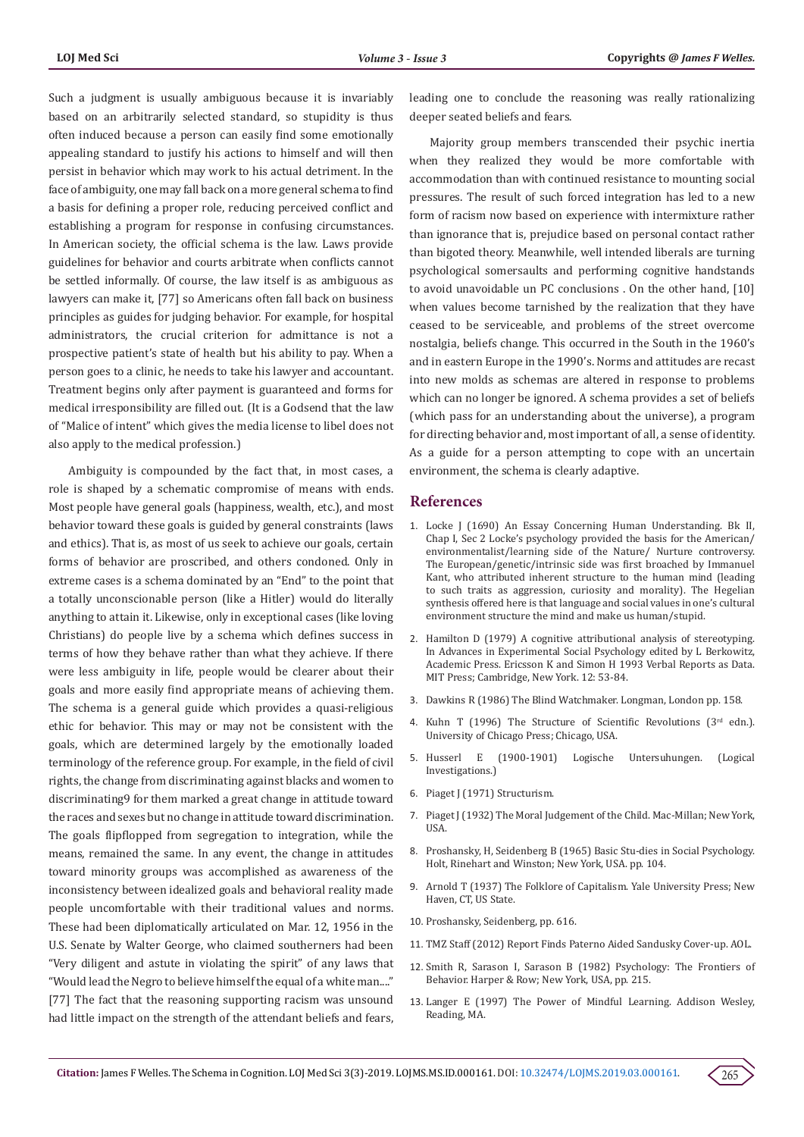Such a judgment is usually ambiguous because it is invariably based on an arbitrarily selected standard, so stupidity is thus often induced because a person can easily find some emotionally appealing standard to justify his actions to himself and will then persist in behavior which may work to his actual detriment. In the face of ambiguity, one may fall back on a more general schema to find a basis for defining a proper role, reducing perceived conflict and establishing a program for response in confusing circumstances. In American society, the official schema is the law. Laws provide guidelines for behavior and courts arbitrate when conflicts cannot be settled informally. Of course, the law itself is as ambiguous as lawyers can make it, [77] so Americans often fall back on business principles as guides for judging behavior. For example, for hospital administrators, the crucial criterion for admittance is not a prospective patient's state of health but his ability to pay. When a person goes to a clinic, he needs to take his lawyer and accountant. Treatment begins only after payment is guaranteed and forms for medical irresponsibility are filled out. (It is a Godsend that the law of "Malice of intent" which gives the media license to libel does not also apply to the medical profession.)

Ambiguity is compounded by the fact that, in most cases, a role is shaped by a schematic compromise of means with ends. Most people have general goals (happiness, wealth, etc.), and most behavior toward these goals is guided by general constraints (laws and ethics). That is, as most of us seek to achieve our goals, certain forms of behavior are proscribed, and others condoned. Only in extreme cases is a schema dominated by an "End" to the point that a totally unconscionable person (like a Hitler) would do literally anything to attain it. Likewise, only in exceptional cases (like loving Christians) do people live by a schema which defines success in terms of how they behave rather than what they achieve. If there were less ambiguity in life, people would be clearer about their goals and more easily find appropriate means of achieving them. The schema is a general guide which provides a quasi-religious ethic for behavior. This may or may not be consistent with the goals, which are determined largely by the emotionally loaded terminology of the reference group. For example, in the field of civil rights, the change from discriminating against blacks and women to discriminating9 for them marked a great change in attitude toward the races and sexes but no change in attitude toward discrimination. The goals flipflopped from segregation to integration, while the means, remained the same. In any event, the change in attitudes toward minority groups was accomplished as awareness of the inconsistency between idealized goals and behavioral reality made people uncomfortable with their traditional values and norms. These had been diplomatically articulated on Mar. 12, 1956 in the U.S. Senate by Walter George, who claimed southerners had been "Very diligent and astute in violating the spirit" of any laws that "Would lead the Negro to believe himself the equal of a white man...." [77] The fact that the reasoning supporting racism was unsound had little impact on the strength of the attendant beliefs and fears,

leading one to conclude the reasoning was really rationalizing deeper seated beliefs and fears.

Majority group members transcended their psychic inertia when they realized they would be more comfortable with accommodation than with continued resistance to mounting social pressures. The result of such forced integration has led to a new form of racism now based on experience with intermixture rather than ignorance that is, prejudice based on personal contact rather than bigoted theory. Meanwhile, well intended liberals are turning psychological somersaults and performing cognitive handstands to avoid unavoidable un PC conclusions . On the other hand, [10] when values become tarnished by the realization that they have ceased to be serviceable, and problems of the street overcome nostalgia, beliefs change. This occurred in the South in the 1960's and in eastern Europe in the 1990's. Norms and attitudes are recast into new molds as schemas are altered in response to problems which can no longer be ignored. A schema provides a set of beliefs (which pass for an understanding about the universe), a program for directing behavior and, most important of all, a sense of identity. As a guide for a person attempting to cope with an uncertain environment, the schema is clearly adaptive.

#### **References**

- 1. [Locke J \(1690\) An Essay Concerning Human Understanding. Bk II,](https://oll.libertyfund.org/titles/locke-the-works-vol-1-an-essay-concerning-human-understanding-part-1) Chap I, Sec [2 Locke's psychology provided the basis for the American/](https://oll.libertyfund.org/titles/locke-the-works-vol-1-an-essay-concerning-human-understanding-part-1) [environmentalist/learning side of the Nature/ Nurture controversy.](https://oll.libertyfund.org/titles/locke-the-works-vol-1-an-essay-concerning-human-understanding-part-1) [The European/genetic/intrinsic side was first broached by Immanuel](https://oll.libertyfund.org/titles/locke-the-works-vol-1-an-essay-concerning-human-understanding-part-1) [Kant, who attributed inherent structure to the human mind \(leading](https://oll.libertyfund.org/titles/locke-the-works-vol-1-an-essay-concerning-human-understanding-part-1) [to such traits as aggression, curiosity and morality\). The Hegelian](https://oll.libertyfund.org/titles/locke-the-works-vol-1-an-essay-concerning-human-understanding-part-1) [synthesis offered here is that language and social values in one's cultural](https://oll.libertyfund.org/titles/locke-the-works-vol-1-an-essay-concerning-human-understanding-part-1) [environment structure the mind and make us human/stupid.](https://oll.libertyfund.org/titles/locke-the-works-vol-1-an-essay-concerning-human-understanding-part-1)
- 2. [Hamilton D \(1979\) A cognitive attributional analysis of stereotyping.](https://www.sciencedirect.com/science/article/pii/S0065260108602592) In Advances [in Experimental Social Psychology edited by L Berkowitz,](https://www.sciencedirect.com/science/article/pii/S0065260108602592) [Academic Press. Ericsson K and Simon H 1993 Verbal Reports as Data.](https://www.sciencedirect.com/science/article/pii/S0065260108602592) [MIT Press; Cambridge, New York.](https://www.sciencedirect.com/science/article/pii/S0065260108602592) 12: 53-84.
- 3. [Dawkins R \(1986\) The Blind Watchmaker. Longman, London pp. 158.](http://avalonlibrary.net/ebooks/Richard%20Dawkins%20-%20The%20Blind%20Watchmaker.pdf)
- 4. [Kuhn T \(1996\) The Structure of Scientific Revolutions \(3](https://projektintegracija.pravo.hr/_download/repository/Kuhn_Structure_of_Scientific_Revolutions.pdf)rd edn.). [University of Chicago Press; Chicago, USA.](https://projektintegracija.pravo.hr/_download/repository/Kuhn_Structure_of_Scientific_Revolutions.pdf)
- 5. Husserl E (1900-1901) Logische Untersuhungen. (Logical Investigations.)
- 6. [Piaget J \(1971\) Structurism.](https://books.google.co.in/books/about/Structuralism.html?id=GSnxHZZOZmQC&redir_esc=y)
- 7. [Piaget J \(1932\) The Moral Judgement of the Child. Mac-Millan; New York,](https://archive.org/details/moraljudgmentoft005613mbp/page/n6) [USA.](https://archive.org/details/moraljudgmentoft005613mbp/page/n6)
- 8. [Proshansky, H, Seidenberg B \(1965\) Basic Stu-dies in Social Psychology.](https://www.worldcat.org/title/basic-studies-in-social-psychology/oclc/174862) [Holt, Rinehart and Winston; New York, USA. pp. 104.](https://www.worldcat.org/title/basic-studies-in-social-psychology/oclc/174862)
- 9. [Arnold T \(1937\) The Folklore of Capitalism. Yale University Press; New](https://archive.org/details/in.ernet.dli.2015.77556/page/n4) Haven, [CT, US State.](https://archive.org/details/in.ernet.dli.2015.77556/page/n4)
- 10. Proshansky, Seidenberg, pp. 616.
- 11. TMZ Staff (2012) Report Finds Paterno Aided Sandusky Cover-up. AOL.
- 12. [Smith R, Sarason I, Sarason B \(1982\) Psychology: The Frontiers of](https://www.abebooks.com/Psychology-Frontiers-Behavior-Smith-Ronald-Edward/8474009497/bd) [Behavior. Harper & Row; New York, USA, pp. 215.](https://www.abebooks.com/Psychology-Frontiers-Behavior-Smith-Ronald-Edward/8474009497/bd)
- 13. [Langer E \(1997\) The Power of Mindful Learning. Addison Wesley,](https://psycnet.apa.org/record/1997-97457-000) [Reading, MA.](https://psycnet.apa.org/record/1997-97457-000)

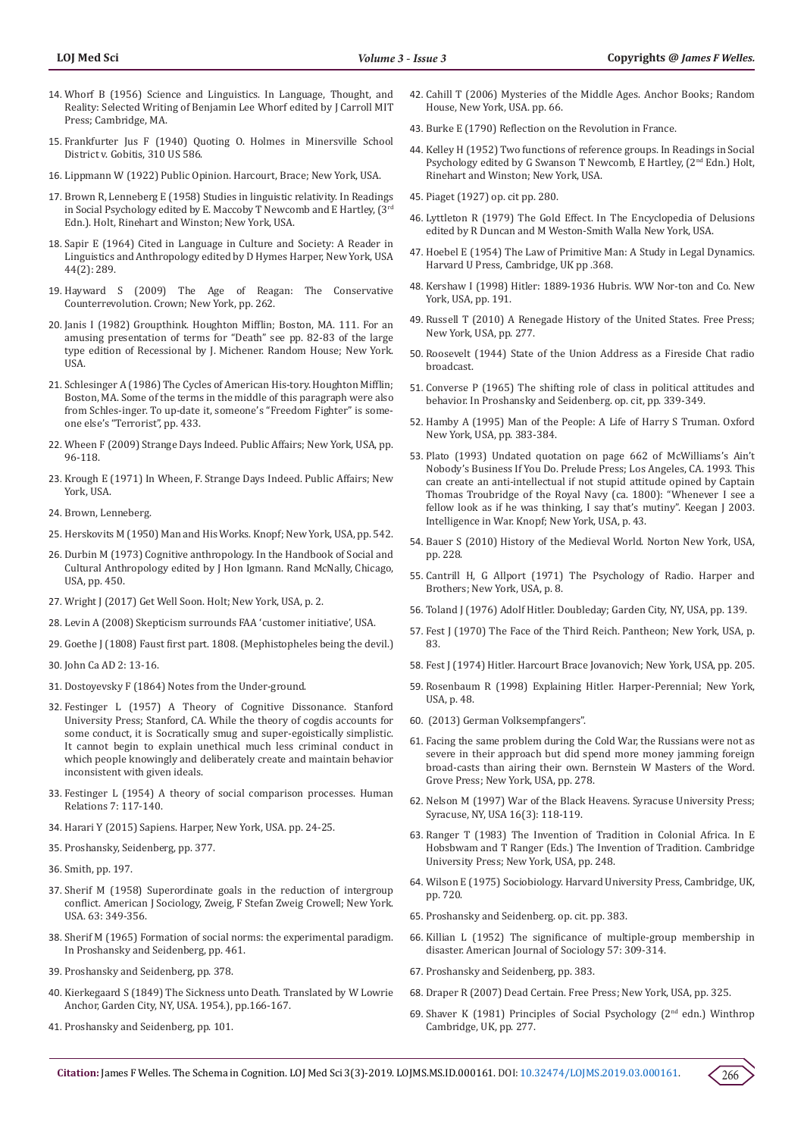- 14. Whorf B (1956) Science and Linguistics. In Language, Thought, and Reality: Selected Writing of Benjamin Lee Whorf edited by J Carroll MIT Press; Cambridge, MA.
- 15. [Frankfurter Jus F \(1940\) Quoting O. Holmes in Minersville School](https://www.loc.gov/item/usrep310586/)  [District v. Gobitis, 310 US 586.](https://www.loc.gov/item/usrep310586/)
- 16. Lippmann W (1922) Public Opinion. Harcourt, Brace; New York, USA.
- 17. Brown R, Lenneberg E (1958) Studies in linguistic relativity. In Readings in Social Psychology edited by E. Maccoby T Newcomb and E Hartley, (3rd Edn.). Holt, Rinehart and Winston; New York, USA.
- 18. [Sapir E \(1964\) Cited in Language in Culture and Society: A Reader in](https://academic.oup.com/sf/article-abstract/44/2/289/2228774?redirectedFrom=fulltext)  [Linguistics and Anthropology edited by D Hymes Harper, New York, USA](https://academic.oup.com/sf/article-abstract/44/2/289/2228774?redirectedFrom=fulltext)  [44\(2\): 289.](https://academic.oup.com/sf/article-abstract/44/2/289/2228774?redirectedFrom=fulltext)
- 19. Hayward S (2009) The Age of Reagan: The Conservative Counterrevolution. Crown; New York, pp. 262.
- 20. Janis I (1982) Groupthink. Houghton Mifflin; Boston, MA. 111. For an amusing presentation of terms for "Death" see pp. 82-83 of the large type edition of Recessional by J. Michener. Random House; New York. USA.
- 21. Schlesinger A (1986) The Cycles of American His-tory. Houghton Mifflin; Boston, MA. Some of the terms in the middle of this paragraph were also from Schles-inger. To up-date it, someone's "Freedom Fighter" is someone else's "Terrorist", pp. 433.
- 22. Wheen F (2009) Strange Days Indeed. Public Affairs; New York, USA, pp. 96-118.
- 23. Krough E (1971) In Wheen, F. Strange Days Indeed. Public Affairs; New York, USA.
- 24. Brown, Lenneberg.
- 25. Herskovits M (1950) Man and His Works. Knopf; New York, USA, pp. 542.
- 26. Durbin M (1973) Cognitive anthropology. In the Handbook of Social and Cultural Anthropology edited by J Hon Igmann. Rand McNally, Chicago, USA, pp. 450.
- 27. [Wright J \(2017\) Get Well Soon. Holt; New York, USA, p. 2.](https://us.macmillan.com/books/9781627797467)
- 28. Levin A (2008) Skepticism surrounds FAA 'customer initiative', USA.
- 29. Goethe J (1808) Faust first part. 1808. (Mephistopheles being the devil.)
- 30. John Ca AD 2: 13-16.
- 31. [Dostoyevsky F \(1864\) Notes from the Under-ground.](https://afinetheorem.wordpress.com/2010/11/28/notes-from-the-underground-f-dostoevsky-1864/)
- 32. [Festinger L \(1957\) A Theory of Cognitive Dissonance. Stanford](https://www.sup.org/books/title/?id=3850)  [University Press; Stanford, CA. While the theory of cogdis accounts for](https://www.sup.org/books/title/?id=3850)  [some conduct, it is Socratically smug and super-egoistically simplistic.](https://www.sup.org/books/title/?id=3850)  [It cannot begin to explain unethical much less criminal conduct in](https://www.sup.org/books/title/?id=3850)  [which people knowingly and deliberately create and maintain behavior](https://www.sup.org/books/title/?id=3850)  [inconsistent with given ideals.](https://www.sup.org/books/title/?id=3850)
- 33. [Festinger L \(1954\) A theory of social comparison processes. Human](https://psycnet.apa.org/record/1955-02305-001)  [Relations 7: 117-140.](https://psycnet.apa.org/record/1955-02305-001)
- 34. Harari Y (2015) Sapiens. Harper, New York, USA. pp. 24-25.
- 35. Proshansky, Seidenberg, pp. 377.
- 36. Smith, pp. 197.
- 37. [Sherif M \(1958\) Superordinate goals in the reduction of intergroup](file:///Z:/WEB/Done/Lupine/LOJMS.MS.ID.000161/LOJMS-RW-19-161_W/63,%20349-356.)  [conflict. American J Sociology, Zweig, F Stefan Zweig Crowell; New York.](file:///Z:/WEB/Done/Lupine/LOJMS.MS.ID.000161/LOJMS-RW-19-161_W/63,%20349-356.)  [USA. 63: 349-356.](file:///Z:/WEB/Done/Lupine/LOJMS.MS.ID.000161/LOJMS-RW-19-161_W/63,%20349-356.)
- 38. Sherif M (1965) Formation of social norms: the experimental paradigm. In Proshansky and Seidenberg, pp. 461.
- 39. Proshansky and Seidenberg, pp. 378.
- 40. Kierkegaard S (1849) The Sickness unto Death. Translated by W Lowrie Anchor, Garden City, NY, USA. 1954.), pp.166-167.
- 41. Proshansky and Seidenberg, pp. 101.
- 42. [Cahill T \(2006\) Mysteries of the Middle Ages. Anchor Books; Random](https://www.penguinrandomhouse.com/books/22710/mysteries-of-the-middle-ages-by-thomas-cahill/9780385495561/) [House, New York, USA. pp. 66.](https://www.penguinrandomhouse.com/books/22710/mysteries-of-the-middle-ages-by-thomas-cahill/9780385495561/)
- 43. [Burke E \(1790\) Reflection on the Revolution in France.](https://www.earlymoderntexts.com/assets/pdfs/burke1790part1.pdf)
- 44. Kelley H (1952) Two functions of reference groups. In Readings in Social Psychology edited by G Swanson T Newcomb, E Hartley, (2<sup>nd</sup> Edn.) Holt, Rinehart and Winston; New York, USA.
- 45. Piaget (1927) op. cit pp. 280.
- 46. Lyttleton R (1979) The Gold Effect. In The Encyclopedia of Delusions edited by R Duncan and M Weston-Smith Walla New York, USA.
- 47. [Hoebel E \(1954\) The Law of Primitive Man: A Study in Legal Dynamics.](http://www.hup.harvard.edu/catalog.php?isbn=9780674023628) [Harvard U Press, Cambridge, UK pp .368.](http://www.hup.harvard.edu/catalog.php?isbn=9780674023628)
- 48. Kershaw I (1998) Hitler: 1889-1936 Hubris. WW Nor-ton and Co. New York, USA, pp. 191.
- 49. Russell T (2010) A Renegade History of the United States. Free Press; New York, USA, pp. 277.
- 50. Roosevelt (1944) State of the Union Address as a Fireside Chat radio broadcast.
- 51. Converse P (1965) The shifting role of class in political attitudes and behavior. In Proshansky and Seidenberg. op. cit, pp. 339-349.
- 52. Hamby A (1995) Man of the People: A Life of Harry S Truman. Oxford New York, USA, pp. 383-384.
- 53. Plato (1993) Undated quotation on page 662 of McWilliams's Ain't Nobody's Business If You Do. Prelude Press; Los Angeles, CA. 1993. This can create an anti-intellectual if not stupid attitude opined by Captain Thomas Troubridge of the Royal Navy (ca. 1800): "Whenever I see a fellow look as if he was thinking, I say that's mutiny". Keegan J 2003. Intelligence in War. Knopf; New York, USA, p. 43.
- 54. Bauer S (2010) History of the Medieval World. Norton New York, USA, pp. 228.
- 55. [Cantrill H, G Allport \(1971\) The Psychology of Radio. Harper and](https://archive.org/details/psychologyofradi00hadl) [Brothers; New York, USA, p. 8.](https://archive.org/details/psychologyofradi00hadl)
- 56. Toland J (1976) Adolf Hitler. Doubleday; Garden City, NY, USA, pp. 139.
- 57. Fest J (1970) The Face of the Third Reich. Pantheon; New York, USA, p. 83.
- 58. Fest J (1974) Hitler. Harcourt Brace Jovanovich; New York, USA, pp. 205.
- 59. Rosenbaum R (1998) Explaining Hitler. Harper-Perennial; New York, USA, p. 48.
- 60. (2013) German Volksempfangers".
- 61. Facing the same problem during the Cold War, the Russians were not as severe in their approach but did spend more money jamming foreign broad-casts than airing their own. Bernstein W Masters of the Word. Grove Press; New York, USA, pp. 278.
- 62. [Nelson M \(1997\) War of the Black Heavens. Syracuse University Press;](https://www.tandfonline.com/doi/abs/10.1080/08821127.1999.10739201) [Syracuse, NY, USA 16\(3\): 118-119.](https://www.tandfonline.com/doi/abs/10.1080/08821127.1999.10739201)
- 63. Ranger T (1983) The Invention of Tradition in Colonial Africa. In E Hobsbwam and T Ranger (Eds.) The Invention of Tradition. Cambridge University Press; New York, USA, pp. 248.
- 64. Wilson E (1975) Sociobiology. Harvard University Press, Cambridge, UK, pp. 720.
- 65. Proshansky and Seidenberg. op. cit. pp. 383.
- 66. [Killian L \(1952\) The significance of multiple-group membership in](https://psycnet.apa.org/record/1952-05526-001) [disaster. American Journal of Sociology 57: 309-314.](https://psycnet.apa.org/record/1952-05526-001)
- 67. Proshansky and Seidenberg, pp. 383.
- 68. Draper R (2007) Dead Certain. Free Press; New York, USA, pp. 325.
- 69. Shaver K (1981) Principles of Social Psychology (2nd edn.) Winthrop Cambridge, UK, pp. 277.